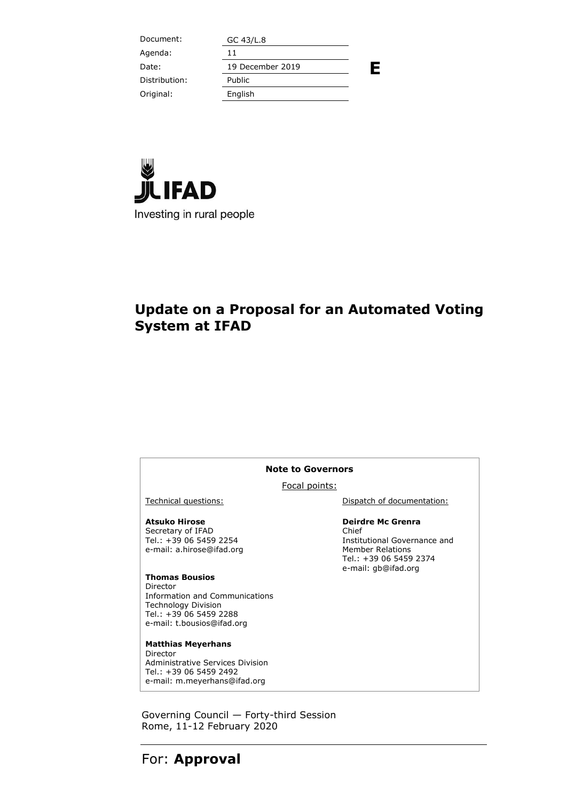| Document:     | GC 43/L.8        |   |
|---------------|------------------|---|
| Agenda:       | 11               |   |
| Date:         | 19 December 2019 | Е |
| Distribution: | Public           |   |
| Original:     | English          |   |
|               |                  |   |



## **Update on a Proposal for an Automated Voting System at IFAD**

#### **Note to Governors**

#### Focal points:

**Atsuko Hirose** Secretary of IFAD Tel.: +39 06 5459 2254 e-mail: a.hirose@ifad.org

**Thomas Bousios** Director Information and Communications Technology Division Tel.: +39 06 5459 2288 e-mail: [t.bousios@ifad.org](mailto:t.bousios@ifad.org)

**Matthias Meyerhans** Director Administrative Services Division Tel.: +39 06 5459 2492 e-mail: [m.meyerhans@ifad.org](mailto:m.meyerhans@ifad.org)

Technical questions: Technical questions: Dispatch of documentation:

#### **Deirdre Mc Grenra**

Chief Institutional Governance and Member Relations Tel.: +39 06 5459 2374 e-mail: gb@ifad.org

Governing Council — Forty-third Session Rome, 11-12 February 2020

#### For: **Approval**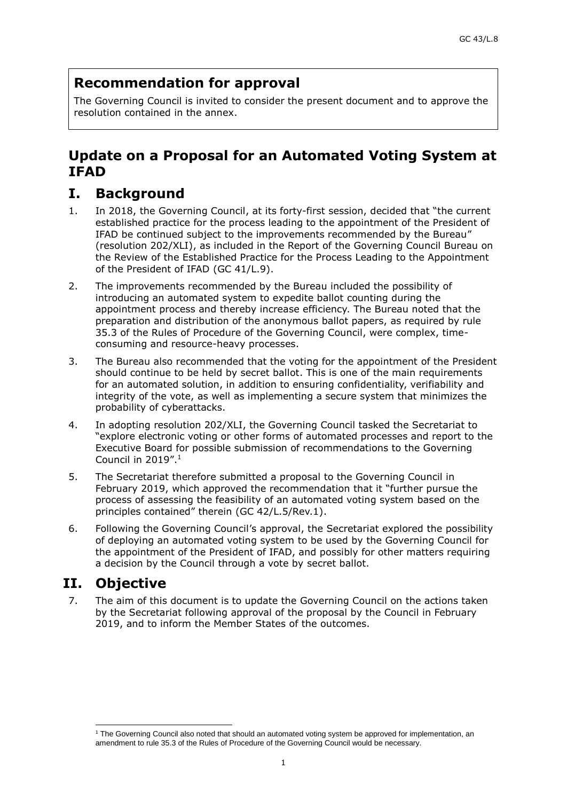# **Recommendation for approval**

The Governing Council is invited to consider the present document and to approve the resolution contained in the annex.

### **Update on a Proposal for an Automated Voting System at IFAD**

## **I. Background**

- 1. In 2018, the Governing Council, at its forty-first session, decided that "the current established practice for the process leading to the appointment of the President of IFAD be continued subject to the improvements recommended by the Bureau" (resolution 202/XLI), as included in the Report of the Governing Council Bureau on the Review of the Established Practice for the Process Leading to the Appointment of the President of IFAD (GC 41/L.9).
- 2. The improvements recommended by the Bureau included the possibility of introducing an automated system to expedite ballot counting during the appointment process and thereby increase efficiency. The Bureau noted that the preparation and distribution of the anonymous ballot papers, as required by rule 35.3 of the Rules of Procedure of the Governing Council, were complex, timeconsuming and resource-heavy processes.
- 3. The Bureau also recommended that the voting for the appointment of the President should continue to be held by secret ballot. This is one of the main requirements for an automated solution, in addition to ensuring confidentiality, verifiability and integrity of the vote, as well as implementing a secure system that minimizes the probability of cyberattacks.
- 4. In adopting resolution 202/XLI, the Governing Council tasked the Secretariat to "explore electronic voting or other forms of automated processes and report to the Executive Board for possible submission of recommendations to the Governing Council in 2019". 1
- 5. The Secretariat therefore submitted a proposal to the Governing Council in February 2019, which approved the recommendation that it "further pursue the process of assessing the feasibility of an automated voting system based on the principles contained" therein (GC 42/L.5/Rev.1).
- 6. Following the Governing Council's approval, the Secretariat explored the possibility of deploying an automated voting system to be used by the Governing Council for the appointment of the President of IFAD, and possibly for other matters requiring a decision by the Council through a vote by secret ballot.

## **II. Objective**

-

7. The aim of this document is to update the Governing Council on the actions taken by the Secretariat following approval of the proposal by the Council in February 2019, and to inform the Member States of the outcomes.

<sup>1</sup> The Governing Council also noted that should an automated voting system be approved for implementation, an amendment to rule 35.3 of the Rules of Procedure of the Governing Council would be necessary.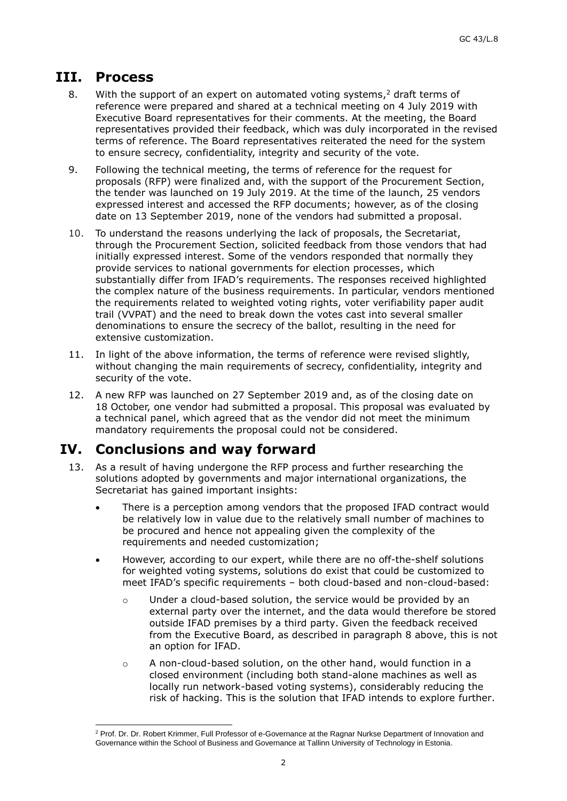### **III. Process**

- 8. With the support of an expert on automated voting systems,<sup>2</sup> draft terms of reference were prepared and shared at a technical meeting on 4 July 2019 with Executive Board representatives for their comments. At the meeting, the Board representatives provided their feedback, which was duly incorporated in the revised terms of reference. The Board representatives reiterated the need for the system to ensure secrecy, confidentiality, integrity and security of the vote.
- 9. Following the technical meeting, the terms of reference for the request for proposals (RFP) were finalized and, with the support of the Procurement Section, the tender was launched on 19 July 2019. At the time of the launch, 25 vendors expressed interest and accessed the RFP documents; however, as of the closing date on 13 September 2019, none of the vendors had submitted a proposal.
- 10. To understand the reasons underlying the lack of proposals, the Secretariat, through the Procurement Section, solicited feedback from those vendors that had initially expressed interest. Some of the vendors responded that normally they provide services to national governments for election processes, which substantially differ from IFAD's requirements. The responses received highlighted the complex nature of the business requirements. In particular, vendors mentioned the requirements related to weighted voting rights, voter verifiability paper audit trail (VVPAT) and the need to break down the votes cast into several smaller denominations to ensure the secrecy of the ballot, resulting in the need for extensive customization.
- 11. In light of the above information, the terms of reference were revised slightly, without changing the main requirements of secrecy, confidentiality, integrity and security of the vote.
- 12. A new RFP was launched on 27 September 2019 and, as of the closing date on 18 October, one vendor had submitted a proposal. This proposal was evaluated by a technical panel, which agreed that as the vendor did not meet the minimum mandatory requirements the proposal could not be considered.

## **IV. Conclusions and way forward**

- 13. As a result of having undergone the RFP process and further researching the solutions adopted by governments and major international organizations, the Secretariat has gained important insights:
	- There is a perception among vendors that the proposed IFAD contract would be relatively low in value due to the relatively small number of machines to be procured and hence not appealing given the complexity of the requirements and needed customization;
	- However, according to our expert, while there are no off-the-shelf solutions for weighted voting systems, solutions do exist that could be customized to meet IFAD's specific requirements – both cloud-based and non-cloud-based:
		- o Under a cloud-based solution, the service would be provided by an external party over the internet, and the data would therefore be stored outside IFAD premises by a third party. Given the feedback received from the Executive Board, as described in paragraph 8 above, this is not an option for IFAD.
		- o A non-cloud-based solution, on the other hand, would function in a closed environment (including both stand-alone machines as well as locally run network-based voting systems), considerably reducing the risk of hacking. This is the solution that IFAD intends to explore further.

<sup>-</sup><sup>2</sup> Prof. Dr. Dr. Robert Krimmer, Full Professor of e-Governance at the Ragnar Nurkse Department of Innovation and Governance within the School of Business and Governance at Tallinn University of Technology in Estonia.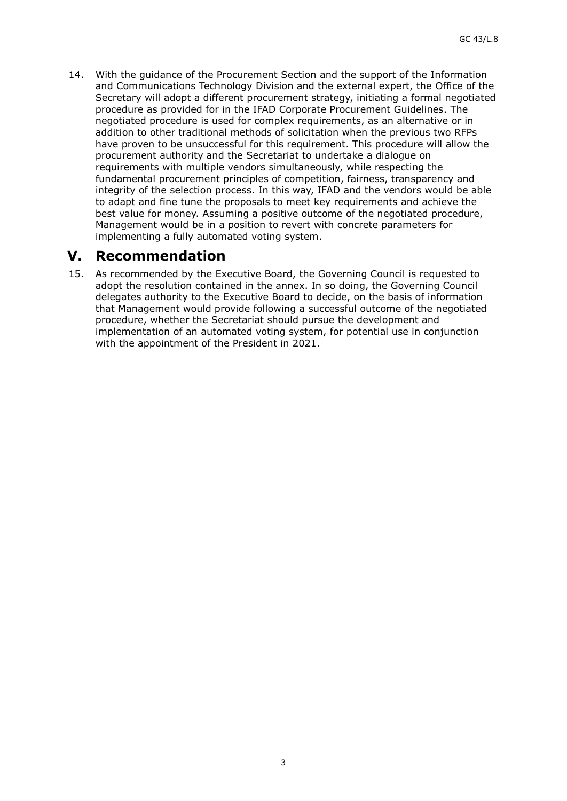14. With the guidance of the Procurement Section and the support of the Information and Communications Technology Division and the external expert, the Office of the Secretary will adopt a different procurement strategy, initiating a formal negotiated procedure as provided for in the IFAD Corporate Procurement Guidelines. The negotiated procedure is used for complex requirements, as an alternative or in addition to other traditional methods of solicitation when the previous two RFPs have proven to be unsuccessful for this requirement. This procedure will allow the procurement authority and the Secretariat to undertake a dialogue on requirements with multiple vendors simultaneously, while respecting the fundamental procurement principles of competition, fairness, transparency and integrity of the selection process. In this way, IFAD and the vendors would be able to adapt and fine tune the proposals to meet key requirements and achieve the best value for money. Assuming a positive outcome of the negotiated procedure, Management would be in a position to revert with concrete parameters for implementing a fully automated voting system.

#### **V. Recommendation**

15. As recommended by the Executive Board, the Governing Council is requested to adopt the resolution contained in the annex. In so doing, the Governing Council delegates authority to the Executive Board to decide, on the basis of information that Management would provide following a successful outcome of the negotiated procedure, whether the Secretariat should pursue the development and implementation of an automated voting system, for potential use in conjunction with the appointment of the President in 2021.